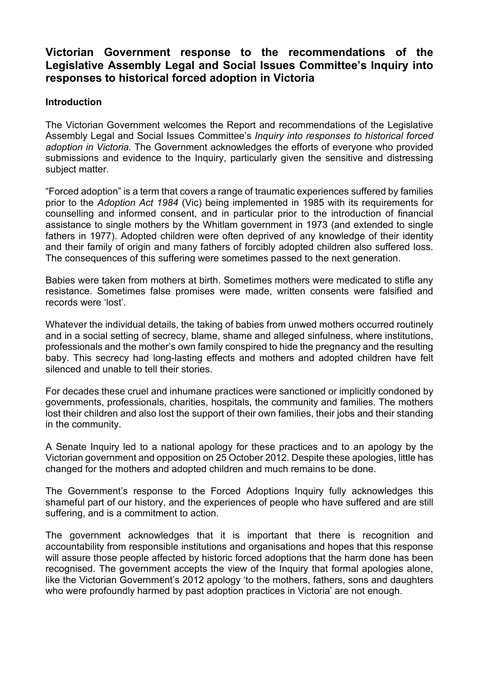#### **Victorian Government response to the recommendations of the Legislative Assembly Legal and Social Issues Committee's Inquiry into responses to historical forced adoption in Victoria**

#### **Introduction**

The Victorian Government welcomes the Report and recommendations of the Legislative Assembly Legal and Social Issues Committee's *Inquiry into responses to historical forced adoption in Victoria.* The Government acknowledges the efforts of everyone who provided submissions and evidence to the Inquiry, particularly given the sensitive and distressing subject matter.

"Forced adoption" is a term that covers a range of traumatic experiences suffered by families prior to the *Adoption Act 1984* (Vic) being implemented in 1985 with its requirements for counselling and informed consent, and in particular prior to the introduction of financial assistance to single mothers by the Whitlam government in 1973 (and extended to single fathers in 1977). Adopted children were often deprived of any knowledge of their identity and their family of origin and many fathers of forcibly adopted children also suffered loss. The consequences of this suffering were sometimes passed to the next generation.

Babies were taken from mothers at birth. Sometimes mothers were medicated to stifle any resistance. Sometimes false promises were made, written consents were falsified and records were 'lost'.

Whatever the individual details, the taking of babies from unwed mothers occurred routinely and in a social setting of secrecy, blame, shame and alleged sinfulness, where institutions, professionals and the mother's own family conspired to hide the pregnancy and the resulting baby. This secrecy had long-lasting effects and mothers and adopted children have felt silenced and unable to tell their stories.

For decades these cruel and inhumane practices were sanctioned or implicitly condoned by governments, professionals, charities, hospitals, the community and families. The mothers lost their children and also lost the support of their own families, their jobs and their standing in the community.

A Senate Inquiry led to a national apology for these practices and to an apology by the Victorian government and opposition on 25 October 2012. Despite these apologies, little has changed for the mothers and adopted children and much remains to be done.

The Government's response to the Forced Adoptions Inquiry fully acknowledges this shameful part of our history, and the experiences of people who have suffered and are still suffering, and is a commitment to action.

The government acknowledges that it is important that there is recognition and accountability from responsible institutions and organisations and hopes that this response will assure those people affected by historic forced adoptions that the harm done has been recognised. The government accepts the view of the Inquiry that formal apologies alone, like the Victorian Government's 2012 apology 'to the mothers, fathers, sons and daughters who were profoundly harmed by past adoption practices in Victoria' are not enough.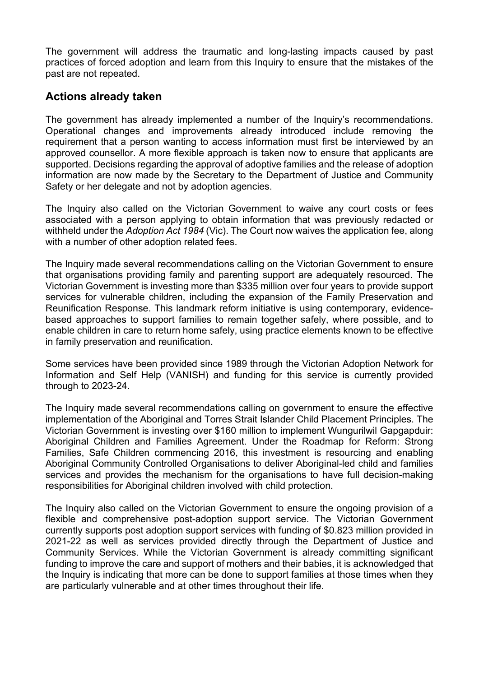The government will address the traumatic and long-lasting impacts caused by past practices of forced adoption and learn from this Inquiry to ensure that the mistakes of the past are not repeated.

## **Actions already taken**

The government has already implemented a number of the Inquiry's recommendations. Operational changes and improvements already introduced include removing the requirement that a person wanting to access information must first be interviewed by an approved counsellor. A more flexible approach is taken now to ensure that applicants are supported. Decisions regarding the approval of adoptive families and the release of adoption information are now made by the Secretary to the Department of Justice and Community Safety or her delegate and not by adoption agencies.

The Inquiry also called on the Victorian Government to waive any court costs or fees associated with a person applying to obtain information that was previously redacted or withheld under the *Adoption Act 1984* (Vic). The Court now waives the application fee, along with a number of other adoption related fees.

The Inquiry made several recommendations calling on the Victorian Government to ensure that organisations providing family and parenting support are adequately resourced. The Victorian Government is investing more than \$335 million over four years to provide support services for vulnerable children, including the expansion of the Family Preservation and Reunification Response. This landmark reform initiative is using contemporary, evidencebased approaches to support families to remain together safely, where possible, and to enable children in care to return home safely, using practice elements known to be effective in family preservation and reunification.

Some services have been provided since 1989 through the Victorian Adoption Network for Information and Self Help (VANISH) and funding for this service is currently provided through to 2023-24.

The Inquiry made several recommendations calling on government to ensure the effective implementation of the Aboriginal and Torres Strait Islander Child Placement Principles. The Victorian Government is investing over \$160 million to implement Wungurilwil Gapgapduir: Aboriginal Children and Families Agreement. Under the Roadmap for Reform: Strong Families, Safe Children commencing 2016, this investment is resourcing and enabling Aboriginal Community Controlled Organisations to deliver Aboriginal-led child and families services and provides the mechanism for the organisations to have full decision-making responsibilities for Aboriginal children involved with child protection.

The Inquiry also called on the Victorian Government to ensure the ongoing provision of a flexible and comprehensive post-adoption support service. The Victorian Government currently supports post adoption support services with funding of \$0.823 million provided in 2021-22 as well as services provided directly through the Department of Justice and Community Services. While the Victorian Government is already committing significant funding to improve the care and support of mothers and their babies, it is acknowledged that the Inquiry is indicating that more can be done to support families at those times when they are particularly vulnerable and at other times throughout their life.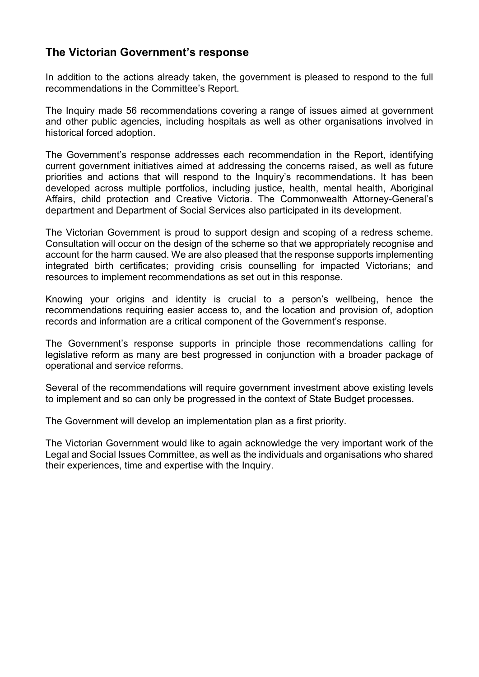## **The Victorian Government's response**

In addition to the actions already taken, the government is pleased to respond to the full recommendations in the Committee's Report.

The Inquiry made 56 recommendations covering a range of issues aimed at government and other public agencies, including hospitals as well as other organisations involved in historical forced adoption.

The Government's response addresses each recommendation in the Report, identifying current government initiatives aimed at addressing the concerns raised, as well as future priorities and actions that will respond to the Inquiry's recommendations. It has been developed across multiple portfolios, including justice, health, mental health, Aboriginal Affairs, child protection and Creative Victoria. The Commonwealth Attorney-General's department and Department of Social Services also participated in its development.

The Victorian Government is proud to support design and scoping of a redress scheme. Consultation will occur on the design of the scheme so that we appropriately recognise and account for the harm caused. We are also pleased that the response supports implementing integrated birth certificates; providing crisis counselling for impacted Victorians; and resources to implement recommendations as set out in this response.

Knowing your origins and identity is crucial to a person's wellbeing, hence the recommendations requiring easier access to, and the location and provision of, adoption records and information are a critical component of the Government's response.

The Government's response supports in principle those recommendations calling for legislative reform as many are best progressed in conjunction with a broader package of operational and service reforms.

Several of the recommendations will require government investment above existing levels to implement and so can only be progressed in the context of State Budget processes.

The Government will develop an implementation plan as a first priority.

The Victorian Government would like to again acknowledge the very important work of the Legal and Social Issues Committee, as well as the individuals and organisations who shared their experiences, time and expertise with the Inquiry.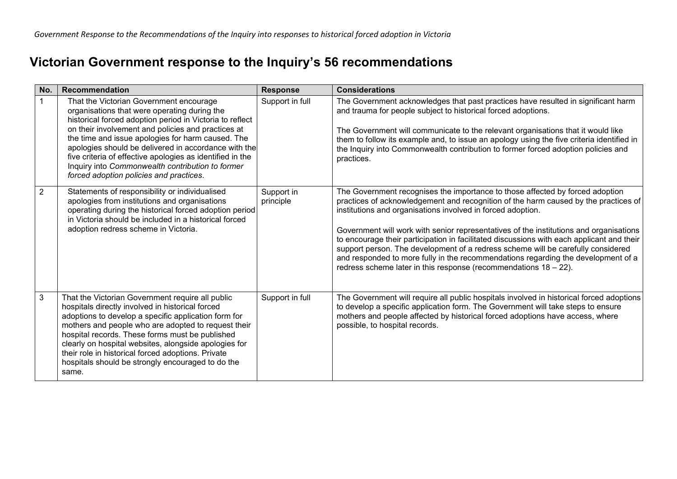# **Victorian Government response to the Inquiry's 56 recommendations**

| No. | <b>Recommendation</b>                                                                                                                                                                                                                                                                                                                                                                                                                                                              | <b>Response</b>         | <b>Considerations</b>                                                                                                                                                                                                                                                                                                                                                                                                                                                                                                                                                                                                                                                      |
|-----|------------------------------------------------------------------------------------------------------------------------------------------------------------------------------------------------------------------------------------------------------------------------------------------------------------------------------------------------------------------------------------------------------------------------------------------------------------------------------------|-------------------------|----------------------------------------------------------------------------------------------------------------------------------------------------------------------------------------------------------------------------------------------------------------------------------------------------------------------------------------------------------------------------------------------------------------------------------------------------------------------------------------------------------------------------------------------------------------------------------------------------------------------------------------------------------------------------|
|     | That the Victorian Government encourage<br>organisations that were operating during the<br>historical forced adoption period in Victoria to reflect<br>on their involvement and policies and practices at<br>the time and issue apologies for harm caused. The<br>apologies should be delivered in accordance with the<br>five criteria of effective apologies as identified in the<br>Inquiry into Commonwealth contribution to former<br>forced adoption policies and practices. | Support in full         | The Government acknowledges that past practices have resulted in significant harm<br>and trauma for people subject to historical forced adoptions.<br>The Government will communicate to the relevant organisations that it would like<br>them to follow its example and, to issue an apology using the five criteria identified in<br>the Inquiry into Commonwealth contribution to former forced adoption policies and<br>practices.                                                                                                                                                                                                                                     |
| 2   | Statements of responsibility or individualised<br>apologies from institutions and organisations<br>operating during the historical forced adoption period<br>in Victoria should be included in a historical forced<br>adoption redress scheme in Victoria.                                                                                                                                                                                                                         | Support in<br>principle | The Government recognises the importance to those affected by forced adoption<br>practices of acknowledgement and recognition of the harm caused by the practices of<br>institutions and organisations involved in forced adoption.<br>Government will work with senior representatives of the institutions and organisations<br>to encourage their participation in facilitated discussions with each applicant and their<br>support person. The development of a redress scheme will be carefully considered<br>and responded to more fully in the recommendations regarding the development of a<br>redress scheme later in this response (recommendations $18 - 22$ ). |
| 3   | That the Victorian Government require all public<br>hospitals directly involved in historical forced<br>adoptions to develop a specific application form for<br>mothers and people who are adopted to request their<br>hospital records. These forms must be published<br>clearly on hospital websites, alongside apologies for<br>their role in historical forced adoptions. Private<br>hospitals should be strongly encouraged to do the<br>same.                                | Support in full         | The Government will require all public hospitals involved in historical forced adoptions<br>to develop a specific application form. The Government will take steps to ensure<br>mothers and people affected by historical forced adoptions have access, where<br>possible, to hospital records.                                                                                                                                                                                                                                                                                                                                                                            |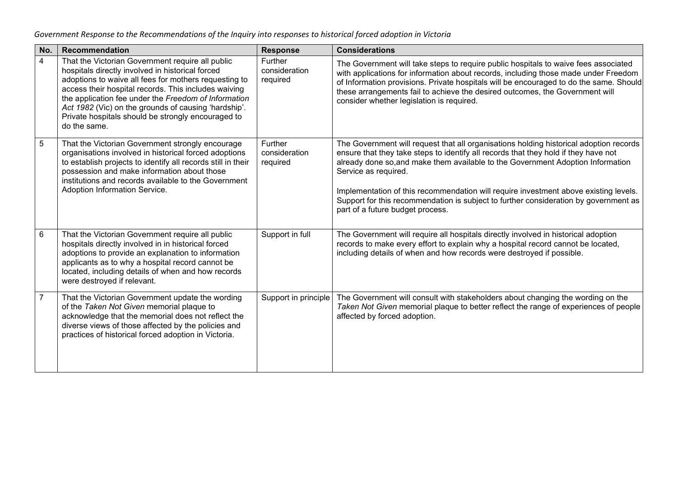| No.            | Recommendation                                                                                                                                                                                                                                                                                                                                                                                              | <b>Response</b>                      | <b>Considerations</b>                                                                                                                                                                                                                                                                                                                                                                                                                                                                                        |
|----------------|-------------------------------------------------------------------------------------------------------------------------------------------------------------------------------------------------------------------------------------------------------------------------------------------------------------------------------------------------------------------------------------------------------------|--------------------------------------|--------------------------------------------------------------------------------------------------------------------------------------------------------------------------------------------------------------------------------------------------------------------------------------------------------------------------------------------------------------------------------------------------------------------------------------------------------------------------------------------------------------|
| $\overline{4}$ | That the Victorian Government require all public<br>hospitals directly involved in historical forced<br>adoptions to waive all fees for mothers requesting to<br>access their hospital records. This includes waiving<br>the application fee under the Freedom of Information<br>Act 1982 (Vic) on the grounds of causing 'hardship'.<br>Private hospitals should be strongly encouraged to<br>do the same. | Further<br>consideration<br>required | The Government will take steps to require public hospitals to waive fees associated<br>with applications for information about records, including those made under Freedom<br>of Information provisions. Private hospitals will be encouraged to do the same. Should<br>these arrangements fail to achieve the desired outcomes, the Government will<br>consider whether legislation is required.                                                                                                            |
| $\sqrt{5}$     | That the Victorian Government strongly encourage<br>organisations involved in historical forced adoptions<br>to establish projects to identify all records still in their<br>possession and make information about those<br>institutions and records available to the Government<br>Adoption Information Service.                                                                                           | Further<br>consideration<br>required | The Government will request that all organisations holding historical adoption records<br>ensure that they take steps to identify all records that they hold if they have not<br>already done so, and make them available to the Government Adoption Information<br>Service as required.<br>Implementation of this recommendation will require investment above existing levels.<br>Support for this recommendation is subject to further consideration by government as<br>part of a future budget process. |
| 6              | That the Victorian Government require all public<br>hospitals directly involved in in historical forced<br>adoptions to provide an explanation to information<br>applicants as to why a hospital record cannot be<br>located, including details of when and how records<br>were destroyed if relevant.                                                                                                      | Support in full                      | The Government will require all hospitals directly involved in historical adoption<br>records to make every effort to explain why a hospital record cannot be located,<br>including details of when and how records were destroyed if possible.                                                                                                                                                                                                                                                              |
| $\overline{7}$ | That the Victorian Government update the wording<br>of the Taken Not Given memorial plaque to<br>acknowledge that the memorial does not reflect the<br>diverse views of those affected by the policies and<br>practices of historical forced adoption in Victoria.                                                                                                                                          | Support in principle                 | The Government will consult with stakeholders about changing the wording on the<br>Taken Not Given memorial plaque to better reflect the range of experiences of people<br>affected by forced adoption.                                                                                                                                                                                                                                                                                                      |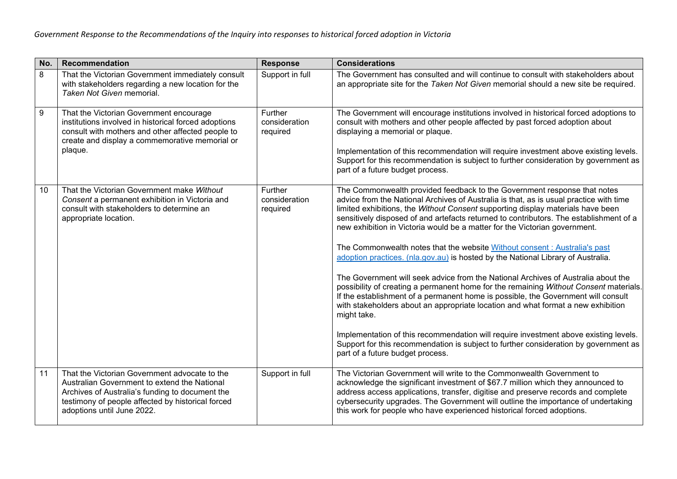| No. | Recommendation                                                                                                                                                                                                                      | <b>Response</b>                      | <b>Considerations</b>                                                                                                                                                                                                                                                                                                                                                                                                                                                                                                                                                                                                                                                                                                                                                                                                                                                                                                                                                                                                                                                                                                                                                                     |
|-----|-------------------------------------------------------------------------------------------------------------------------------------------------------------------------------------------------------------------------------------|--------------------------------------|-------------------------------------------------------------------------------------------------------------------------------------------------------------------------------------------------------------------------------------------------------------------------------------------------------------------------------------------------------------------------------------------------------------------------------------------------------------------------------------------------------------------------------------------------------------------------------------------------------------------------------------------------------------------------------------------------------------------------------------------------------------------------------------------------------------------------------------------------------------------------------------------------------------------------------------------------------------------------------------------------------------------------------------------------------------------------------------------------------------------------------------------------------------------------------------------|
| 8   | That the Victorian Government immediately consult<br>with stakeholders regarding a new location for the<br>Taken Not Given memorial.                                                                                                | Support in full                      | The Government has consulted and will continue to consult with stakeholders about<br>an appropriate site for the Taken Not Given memorial should a new site be required.                                                                                                                                                                                                                                                                                                                                                                                                                                                                                                                                                                                                                                                                                                                                                                                                                                                                                                                                                                                                                  |
| 9   | That the Victorian Government encourage<br>institutions involved in historical forced adoptions<br>consult with mothers and other affected people to<br>create and display a commemorative memorial or<br>plaque.                   | Further<br>consideration<br>required | The Government will encourage institutions involved in historical forced adoptions to<br>consult with mothers and other people affected by past forced adoption about<br>displaying a memorial or plaque.<br>Implementation of this recommendation will require investment above existing levels.<br>Support for this recommendation is subject to further consideration by government as<br>part of a future budget process.                                                                                                                                                                                                                                                                                                                                                                                                                                                                                                                                                                                                                                                                                                                                                             |
| 10  | That the Victorian Government make Without<br>Consent a permanent exhibition in Victoria and<br>consult with stakeholders to determine an<br>appropriate location.                                                                  | Further<br>consideration<br>required | The Commonwealth provided feedback to the Government response that notes<br>advice from the National Archives of Australia is that, as is usual practice with time<br>limited exhibitions, the Without Consent supporting display materials have been<br>sensitively disposed of and artefacts returned to contributors. The establishment of a<br>new exhibition in Victoria would be a matter for the Victorian government.<br>The Commonwealth notes that the website Without consent : Australia's past<br>adoption practices. (nla.gov.au) is hosted by the National Library of Australia.<br>The Government will seek advice from the National Archives of Australia about the<br>possibility of creating a permanent home for the remaining Without Consent materials.<br>If the establishment of a permanent home is possible, the Government will consult<br>with stakeholders about an appropriate location and what format a new exhibition<br>might take.<br>Implementation of this recommendation will require investment above existing levels.<br>Support for this recommendation is subject to further consideration by government as<br>part of a future budget process. |
| 11  | That the Victorian Government advocate to the<br>Australian Government to extend the National<br>Archives of Australia's funding to document the<br>testimony of people affected by historical forced<br>adoptions until June 2022. | Support in full                      | The Victorian Government will write to the Commonwealth Government to<br>acknowledge the significant investment of \$67.7 million which they announced to<br>address access applications, transfer, digitise and preserve records and complete<br>cybersecurity upgrades. The Government will outline the importance of undertaking<br>this work for people who have experienced historical forced adoptions.                                                                                                                                                                                                                                                                                                                                                                                                                                                                                                                                                                                                                                                                                                                                                                             |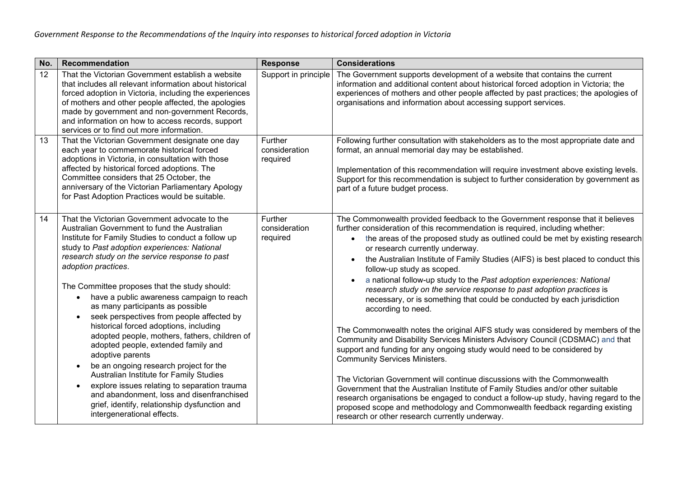| No. | Recommendation                                                                                                                                                                                                                                                                                                                                                                                                                                                                                                                                                                                                                                                                                                                                                                                                                                                                                   | <b>Response</b>                      | <b>Considerations</b>                                                                                                                                                                                                                                                                                                                                                                                                                                                                                                                                                                                                                                                                                                                                                                                                                                                                                                                                                                                                                                                                                                                                                                                                                                                                                                                      |
|-----|--------------------------------------------------------------------------------------------------------------------------------------------------------------------------------------------------------------------------------------------------------------------------------------------------------------------------------------------------------------------------------------------------------------------------------------------------------------------------------------------------------------------------------------------------------------------------------------------------------------------------------------------------------------------------------------------------------------------------------------------------------------------------------------------------------------------------------------------------------------------------------------------------|--------------------------------------|--------------------------------------------------------------------------------------------------------------------------------------------------------------------------------------------------------------------------------------------------------------------------------------------------------------------------------------------------------------------------------------------------------------------------------------------------------------------------------------------------------------------------------------------------------------------------------------------------------------------------------------------------------------------------------------------------------------------------------------------------------------------------------------------------------------------------------------------------------------------------------------------------------------------------------------------------------------------------------------------------------------------------------------------------------------------------------------------------------------------------------------------------------------------------------------------------------------------------------------------------------------------------------------------------------------------------------------------|
| 12  | That the Victorian Government establish a website<br>that includes all relevant information about historical<br>forced adoption in Victoria, including the experiences<br>of mothers and other people affected, the apologies<br>made by government and non-government Records,<br>and information on how to access records, support<br>services or to find out more information.                                                                                                                                                                                                                                                                                                                                                                                                                                                                                                                | Support in principle                 | The Government supports development of a website that contains the current<br>information and additional content about historical forced adoption in Victoria; the<br>experiences of mothers and other people affected by past practices; the apologies of<br>organisations and information about accessing support services.                                                                                                                                                                                                                                                                                                                                                                                                                                                                                                                                                                                                                                                                                                                                                                                                                                                                                                                                                                                                              |
| 13  | That the Victorian Government designate one day<br>each year to commemorate historical forced<br>adoptions in Victoria, in consultation with those<br>affected by historical forced adoptions. The<br>Committee considers that 25 October, the<br>anniversary of the Victorian Parliamentary Apology<br>for Past Adoption Practices would be suitable.                                                                                                                                                                                                                                                                                                                                                                                                                                                                                                                                           | Further<br>consideration<br>required | Following further consultation with stakeholders as to the most appropriate date and<br>format, an annual memorial day may be established.<br>Implementation of this recommendation will require investment above existing levels.<br>Support for this recommendation is subject to further consideration by government as<br>part of a future budget process.                                                                                                                                                                                                                                                                                                                                                                                                                                                                                                                                                                                                                                                                                                                                                                                                                                                                                                                                                                             |
| 14  | That the Victorian Government advocate to the<br>Australian Government to fund the Australian<br>Institute for Family Studies to conduct a follow up<br>study to Past adoption experiences: National<br>research study on the service response to past<br>adoption practices.<br>The Committee proposes that the study should:<br>have a public awareness campaign to reach<br>as many participants as possible<br>seek perspectives from people affected by<br>historical forced adoptions, including<br>adopted people, mothers, fathers, children of<br>adopted people, extended family and<br>adoptive parents<br>be an ongoing research project for the<br>$\bullet$<br>Australian Institute for Family Studies<br>explore issues relating to separation trauma<br>and abandonment, loss and disenfranchised<br>grief, identify, relationship dysfunction and<br>intergenerational effects. | Further<br>consideration<br>required | The Commonwealth provided feedback to the Government response that it believes<br>further consideration of this recommendation is required, including whether:<br>• the areas of the proposed study as outlined could be met by existing research<br>or research currently underway.<br>the Australian Institute of Family Studies (AIFS) is best placed to conduct this<br>follow-up study as scoped.<br>a national follow-up study to the Past adoption experiences: National<br>research study on the service response to past adoption practices is<br>necessary, or is something that could be conducted by each jurisdiction<br>according to need.<br>The Commonwealth notes the original AIFS study was considered by members of the<br>Community and Disability Services Ministers Advisory Council (CDSMAC) and that<br>support and funding for any ongoing study would need to be considered by<br><b>Community Services Ministers.</b><br>The Victorian Government will continue discussions with the Commonwealth<br>Government that the Australian Institute of Family Studies and/or other suitable<br>research organisations be engaged to conduct a follow-up study, having regard to the<br>proposed scope and methodology and Commonwealth feedback regarding existing<br>research or other research currently underway. |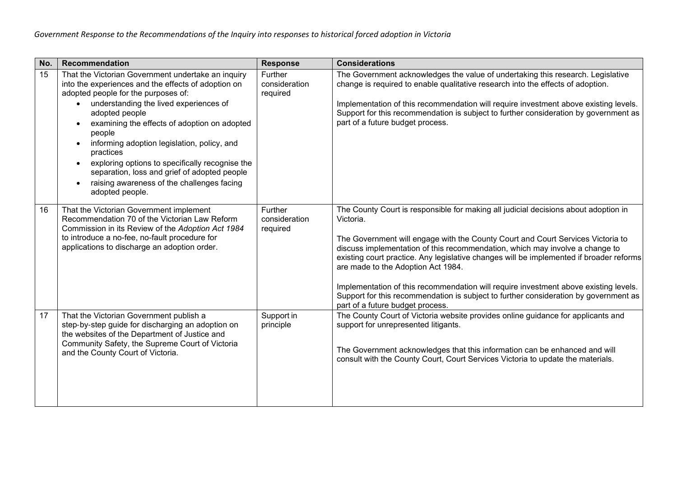| No. | Recommendation                                                                                                                                                                                                                                                                                                                                                                                                                                                                                                                                             | <b>Response</b>                      | <b>Considerations</b>                                                                                                                                                                                                                                                                                                                                                                                                                                                                                                                                                                                                    |
|-----|------------------------------------------------------------------------------------------------------------------------------------------------------------------------------------------------------------------------------------------------------------------------------------------------------------------------------------------------------------------------------------------------------------------------------------------------------------------------------------------------------------------------------------------------------------|--------------------------------------|--------------------------------------------------------------------------------------------------------------------------------------------------------------------------------------------------------------------------------------------------------------------------------------------------------------------------------------------------------------------------------------------------------------------------------------------------------------------------------------------------------------------------------------------------------------------------------------------------------------------------|
| 15  | That the Victorian Government undertake an inquiry<br>into the experiences and the effects of adoption on<br>adopted people for the purposes of:<br>understanding the lived experiences of<br>$\bullet$<br>adopted people<br>examining the effects of adoption on adopted<br>$\bullet$<br>people<br>informing adoption legislation, policy, and<br>practices<br>exploring options to specifically recognise the<br>$\bullet$<br>separation, loss and grief of adopted people<br>raising awareness of the challenges facing<br>$\bullet$<br>adopted people. | Further<br>consideration<br>required | The Government acknowledges the value of undertaking this research. Legislative<br>change is required to enable qualitative research into the effects of adoption.<br>Implementation of this recommendation will require investment above existing levels.<br>Support for this recommendation is subject to further consideration by government as<br>part of a future budget process.                                                                                                                                                                                                                                   |
| 16  | That the Victorian Government implement<br>Recommendation 70 of the Victorian Law Reform<br>Commission in its Review of the Adoption Act 1984<br>to introduce a no-fee, no-fault procedure for<br>applications to discharge an adoption order.                                                                                                                                                                                                                                                                                                             | Further<br>consideration<br>required | The County Court is responsible for making all judicial decisions about adoption in<br>Victoria.<br>The Government will engage with the County Court and Court Services Victoria to<br>discuss implementation of this recommendation, which may involve a change to<br>existing court practice. Any legislative changes will be implemented if broader reforms<br>are made to the Adoption Act 1984.<br>Implementation of this recommendation will require investment above existing levels.<br>Support for this recommendation is subject to further consideration by government as<br>part of a future budget process. |
| 17  | That the Victorian Government publish a<br>step-by-step guide for discharging an adoption on<br>the websites of the Department of Justice and<br>Community Safety, the Supreme Court of Victoria<br>and the County Court of Victoria.                                                                                                                                                                                                                                                                                                                      | Support in<br>principle              | The County Court of Victoria website provides online guidance for applicants and<br>support for unrepresented litigants.<br>The Government acknowledges that this information can be enhanced and will<br>consult with the County Court, Court Services Victoria to update the materials.                                                                                                                                                                                                                                                                                                                                |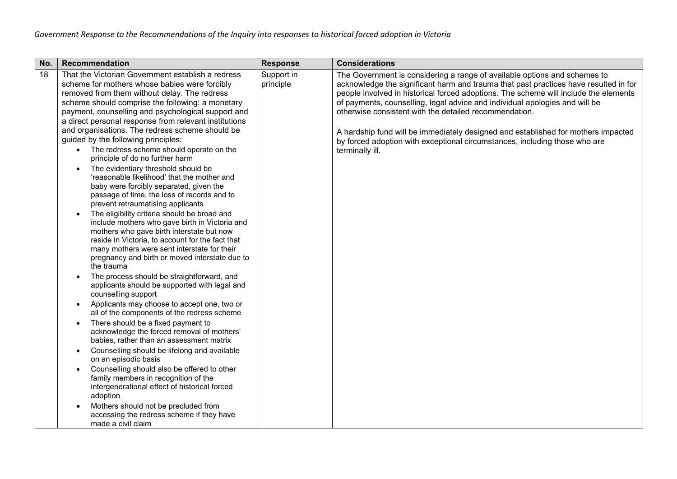| No. | Recommendation                                                                                                                                                                                                                                                                                                                                                                                                                                                                                                                                                                                                                                                                                                                                                                                                                                                                                                                                                                                                                                                                                                                                                                                                                                                                                                                                                                                                                                                                                                                                                                                                                                                                                                                                                            | <b>Response</b>         | <b>Considerations</b>                                                                                                                                                                                                                                                                                                                                                                                                                                                                                                                                                                    |
|-----|---------------------------------------------------------------------------------------------------------------------------------------------------------------------------------------------------------------------------------------------------------------------------------------------------------------------------------------------------------------------------------------------------------------------------------------------------------------------------------------------------------------------------------------------------------------------------------------------------------------------------------------------------------------------------------------------------------------------------------------------------------------------------------------------------------------------------------------------------------------------------------------------------------------------------------------------------------------------------------------------------------------------------------------------------------------------------------------------------------------------------------------------------------------------------------------------------------------------------------------------------------------------------------------------------------------------------------------------------------------------------------------------------------------------------------------------------------------------------------------------------------------------------------------------------------------------------------------------------------------------------------------------------------------------------------------------------------------------------------------------------------------------------|-------------------------|------------------------------------------------------------------------------------------------------------------------------------------------------------------------------------------------------------------------------------------------------------------------------------------------------------------------------------------------------------------------------------------------------------------------------------------------------------------------------------------------------------------------------------------------------------------------------------------|
| 18  | That the Victorian Government establish a redress<br>scheme for mothers whose babies were forcibly<br>removed from them without delay. The redress<br>scheme should comprise the following: a monetary<br>payment, counselling and psychological support and<br>a direct personal response from relevant institutions<br>and organisations. The redress scheme should be<br>guided by the following principles:<br>• The redress scheme should operate on the<br>principle of do no further harm<br>The evidentiary threshold should be<br>$\bullet$<br>'reasonable likelihood' that the mother and<br>baby were forcibly separated, given the<br>passage of time, the loss of records and to<br>prevent retraumatising applicants<br>The eligibility criteria should be broad and<br>include mothers who gave birth in Victoria and<br>mothers who gave birth interstate but now<br>reside in Victoria, to account for the fact that<br>many mothers were sent interstate for their<br>pregnancy and birth or moved interstate due to<br>the trauma<br>The process should be straightforward, and<br>applicants should be supported with legal and<br>counselling support<br>Applicants may choose to accept one, two or<br>all of the components of the redress scheme<br>There should be a fixed payment to<br>$\bullet$<br>acknowledge the forced removal of mothers'<br>babies, rather than an assessment matrix<br>Counselling should be lifelong and available<br>$\bullet$<br>on an episodic basis<br>Counselling should also be offered to other<br>family members in recognition of the<br>intergenerational effect of historical forced<br>adoption<br>Mothers should not be precluded from<br>accessing the redress scheme if they have<br>made a civil claim | Support in<br>principle | The Government is considering a range of available options and schemes to<br>acknowledge the significant harm and trauma that past practices have resulted in for<br>people involved in historical forced adoptions. The scheme will include the elements<br>of payments, counselling, legal advice and individual apologies and will be<br>otherwise consistent with the detailed recommendation.<br>A hardship fund will be immediately designed and established for mothers impacted<br>by forced adoption with exceptional circumstances, including those who are<br>terminally ill. |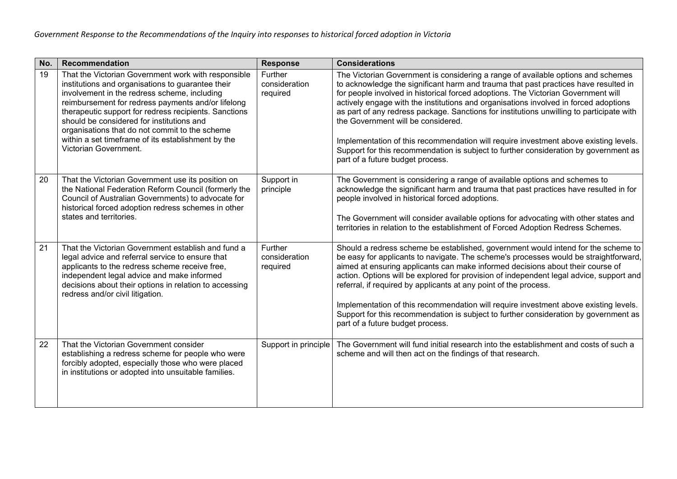| No. | Recommendation                                                                                                                                                                                                                                                                                                                                                                                                                                        | <b>Response</b>                      | <b>Considerations</b>                                                                                                                                                                                                                                                                                                                                                                                                                                                                                                                                                                                                                                                                                      |
|-----|-------------------------------------------------------------------------------------------------------------------------------------------------------------------------------------------------------------------------------------------------------------------------------------------------------------------------------------------------------------------------------------------------------------------------------------------------------|--------------------------------------|------------------------------------------------------------------------------------------------------------------------------------------------------------------------------------------------------------------------------------------------------------------------------------------------------------------------------------------------------------------------------------------------------------------------------------------------------------------------------------------------------------------------------------------------------------------------------------------------------------------------------------------------------------------------------------------------------------|
| 19  | That the Victorian Government work with responsible<br>institutions and organisations to guarantee their<br>involvement in the redress scheme, including<br>reimbursement for redress payments and/or lifelong<br>therapeutic support for redress recipients. Sanctions<br>should be considered for institutions and<br>organisations that do not commit to the scheme<br>within a set timeframe of its establishment by the<br>Victorian Government. | Further<br>consideration<br>required | The Victorian Government is considering a range of available options and schemes<br>to acknowledge the significant harm and trauma that past practices have resulted in<br>for people involved in historical forced adoptions. The Victorian Government will<br>actively engage with the institutions and organisations involved in forced adoptions<br>as part of any redress package. Sanctions for institutions unwilling to participate with<br>the Government will be considered.<br>Implementation of this recommendation will require investment above existing levels.<br>Support for this recommendation is subject to further consideration by government as<br>part of a future budget process. |
| 20  | That the Victorian Government use its position on<br>the National Federation Reform Council (formerly the<br>Council of Australian Governments) to advocate for<br>historical forced adoption redress schemes in other<br>states and territories.                                                                                                                                                                                                     | Support in<br>principle              | The Government is considering a range of available options and schemes to<br>acknowledge the significant harm and trauma that past practices have resulted in for<br>people involved in historical forced adoptions.<br>The Government will consider available options for advocating with other states and<br>territories in relation to the establishment of Forced Adoption Redress Schemes.                                                                                                                                                                                                                                                                                                            |
| 21  | That the Victorian Government establish and fund a<br>legal advice and referral service to ensure that<br>applicants to the redress scheme receive free,<br>independent legal advice and make informed<br>decisions about their options in relation to accessing<br>redress and/or civil litigation.                                                                                                                                                  | Further<br>consideration<br>required | Should a redress scheme be established, government would intend for the scheme to<br>be easy for applicants to navigate. The scheme's processes would be straightforward,<br>aimed at ensuring applicants can make informed decisions about their course of<br>action. Options will be explored for provision of independent legal advice, support and<br>referral, if required by applicants at any point of the process.<br>Implementation of this recommendation will require investment above existing levels.<br>Support for this recommendation is subject to further consideration by government as<br>part of a future budget process.                                                             |
| 22  | That the Victorian Government consider<br>establishing a redress scheme for people who were<br>forcibly adopted, especially those who were placed<br>in institutions or adopted into unsuitable families.                                                                                                                                                                                                                                             | Support in principle                 | The Government will fund initial research into the establishment and costs of such a<br>scheme and will then act on the findings of that research.                                                                                                                                                                                                                                                                                                                                                                                                                                                                                                                                                         |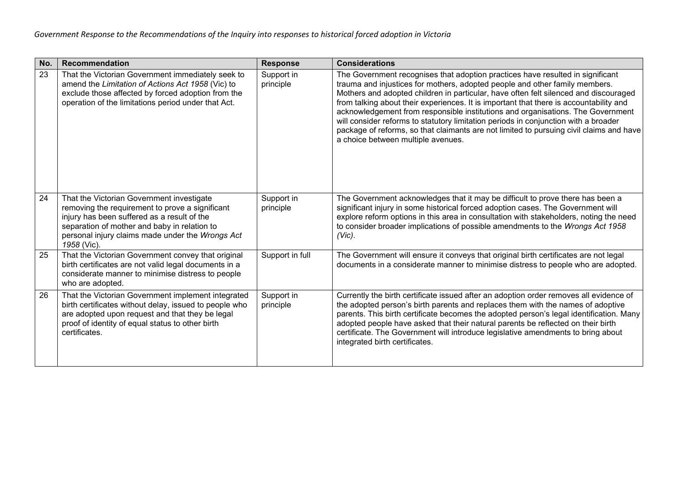| No. | Recommendation                                                                                                                                                                                                                                                 | <b>Response</b>         | <b>Considerations</b>                                                                                                                                                                                                                                                                                                                                                                                                                                                                                                                                                                                                                                      |
|-----|----------------------------------------------------------------------------------------------------------------------------------------------------------------------------------------------------------------------------------------------------------------|-------------------------|------------------------------------------------------------------------------------------------------------------------------------------------------------------------------------------------------------------------------------------------------------------------------------------------------------------------------------------------------------------------------------------------------------------------------------------------------------------------------------------------------------------------------------------------------------------------------------------------------------------------------------------------------------|
| 23  | That the Victorian Government immediately seek to<br>amend the Limitation of Actions Act 1958 (Vic) to<br>exclude those affected by forced adoption from the<br>operation of the limitations period under that Act.                                            | Support in<br>principle | The Government recognises that adoption practices have resulted in significant<br>trauma and injustices for mothers, adopted people and other family members.<br>Mothers and adopted children in particular, have often felt silenced and discouraged<br>from talking about their experiences. It is important that there is accountability and<br>acknowledgement from responsible institutions and organisations. The Government<br>will consider reforms to statutory limitation periods in conjunction with a broader<br>package of reforms, so that claimants are not limited to pursuing civil claims and have<br>a choice between multiple avenues. |
| 24  | That the Victorian Government investigate<br>removing the requirement to prove a significant<br>injury has been suffered as a result of the<br>separation of mother and baby in relation to<br>personal injury claims made under the Wrongs Act<br>1958 (Vic). | Support in<br>principle | The Government acknowledges that it may be difficult to prove there has been a<br>significant injury in some historical forced adoption cases. The Government will<br>explore reform options in this area in consultation with stakeholders, noting the need<br>to consider broader implications of possible amendments to the Wrongs Act 1958<br>$(Vic)$ .                                                                                                                                                                                                                                                                                                |
| 25  | That the Victorian Government convey that original<br>birth certificates are not valid legal documents in a<br>considerate manner to minimise distress to people<br>who are adopted.                                                                           | Support in full         | The Government will ensure it conveys that original birth certificates are not legal<br>documents in a considerate manner to minimise distress to people who are adopted.                                                                                                                                                                                                                                                                                                                                                                                                                                                                                  |
| 26  | That the Victorian Government implement integrated<br>birth certificates without delay, issued to people who<br>are adopted upon request and that they be legal<br>proof of identity of equal status to other birth<br>certificates.                           | Support in<br>principle | Currently the birth certificate issued after an adoption order removes all evidence of<br>the adopted person's birth parents and replaces them with the names of adoptive<br>parents. This birth certificate becomes the adopted person's legal identification. Many<br>adopted people have asked that their natural parents be reflected on their birth<br>certificate. The Government will introduce legislative amendments to bring about<br>integrated birth certificates.                                                                                                                                                                             |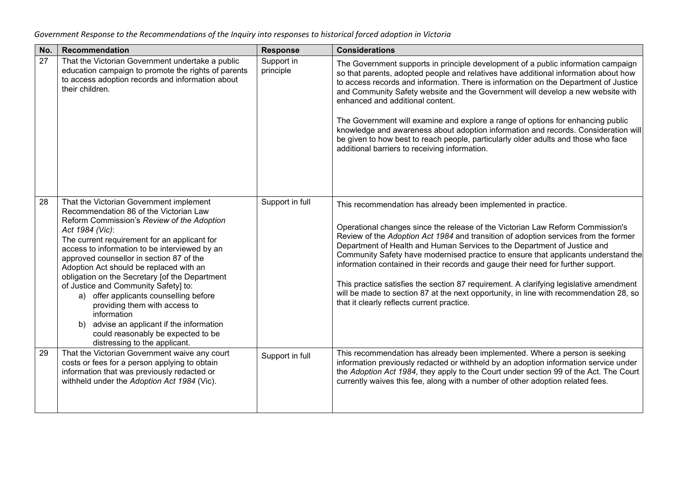| No. | Recommendation                                                                                                                                                                                                                                                                                                                                                                                                                                                                                                                                                                                                                                     | <b>Response</b>         | <b>Considerations</b>                                                                                                                                                                                                                                                                                                                                                                                                                                                                                                                                                                                                                                                                                                          |
|-----|----------------------------------------------------------------------------------------------------------------------------------------------------------------------------------------------------------------------------------------------------------------------------------------------------------------------------------------------------------------------------------------------------------------------------------------------------------------------------------------------------------------------------------------------------------------------------------------------------------------------------------------------------|-------------------------|--------------------------------------------------------------------------------------------------------------------------------------------------------------------------------------------------------------------------------------------------------------------------------------------------------------------------------------------------------------------------------------------------------------------------------------------------------------------------------------------------------------------------------------------------------------------------------------------------------------------------------------------------------------------------------------------------------------------------------|
| 27  | That the Victorian Government undertake a public<br>education campaign to promote the rights of parents<br>to access adoption records and information about<br>their children.                                                                                                                                                                                                                                                                                                                                                                                                                                                                     | Support in<br>principle | The Government supports in principle development of a public information campaign<br>so that parents, adopted people and relatives have additional information about how<br>to access records and information. There is information on the Department of Justice<br>and Community Safety website and the Government will develop a new website with<br>enhanced and additional content.<br>The Government will examine and explore a range of options for enhancing public<br>knowledge and awareness about adoption information and records. Consideration will<br>be given to how best to reach people, particularly older adults and those who face<br>additional barriers to receiving information.                        |
| 28  | That the Victorian Government implement<br>Recommendation 86 of the Victorian Law<br>Reform Commission's Review of the Adoption<br>Act 1984 (Vic):<br>The current requirement for an applicant for<br>access to information to be interviewed by an<br>approved counsellor in section 87 of the<br>Adoption Act should be replaced with an<br>obligation on the Secretary [of the Department<br>of Justice and Community Safety] to:<br>a) offer applicants counselling before<br>providing them with access to<br>information<br>b) advise an applicant if the information<br>could reasonably be expected to be<br>distressing to the applicant. | Support in full         | This recommendation has already been implemented in practice.<br>Operational changes since the release of the Victorian Law Reform Commission's<br>Review of the Adoption Act 1984 and transition of adoption services from the former<br>Department of Health and Human Services to the Department of Justice and<br>Community Safety have modernised practice to ensure that applicants understand the<br>information contained in their records and gauge their need for further support.<br>This practice satisfies the section 87 requirement. A clarifying legislative amendment<br>will be made to section 87 at the next opportunity, in line with recommendation 28, so<br>that it clearly reflects current practice. |
| 29  | That the Victorian Government waive any court<br>costs or fees for a person applying to obtain<br>information that was previously redacted or<br>withheld under the Adoption Act 1984 (Vic).                                                                                                                                                                                                                                                                                                                                                                                                                                                       | Support in full         | This recommendation has already been implemented. Where a person is seeking<br>information previously redacted or withheld by an adoption information service under<br>the Adoption Act 1984, they apply to the Court under section 99 of the Act. The Court<br>currently waives this fee, along with a number of other adoption related fees.                                                                                                                                                                                                                                                                                                                                                                                 |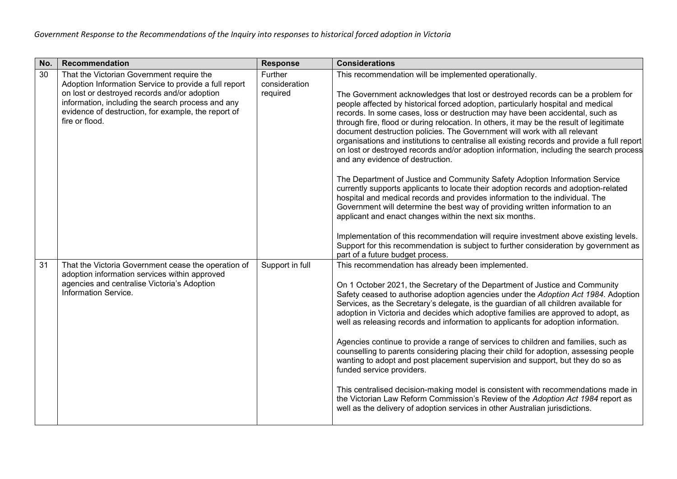| No. | Recommendation                                                                                                                                                                                                                                                                   | <b>Response</b>                      | <b>Considerations</b>                                                                                                                                                                                                                                                                                                                                                                                                                                                                                                                                                                                                                                                                                                                                                                                                                                                                                                                                                                                                                                                                                                                                                                                                                                                                                                                     |
|-----|----------------------------------------------------------------------------------------------------------------------------------------------------------------------------------------------------------------------------------------------------------------------------------|--------------------------------------|-------------------------------------------------------------------------------------------------------------------------------------------------------------------------------------------------------------------------------------------------------------------------------------------------------------------------------------------------------------------------------------------------------------------------------------------------------------------------------------------------------------------------------------------------------------------------------------------------------------------------------------------------------------------------------------------------------------------------------------------------------------------------------------------------------------------------------------------------------------------------------------------------------------------------------------------------------------------------------------------------------------------------------------------------------------------------------------------------------------------------------------------------------------------------------------------------------------------------------------------------------------------------------------------------------------------------------------------|
| 30  | That the Victorian Government require the<br>Adoption Information Service to provide a full report<br>on lost or destroyed records and/or adoption<br>information, including the search process and any<br>evidence of destruction, for example, the report of<br>fire or flood. | Further<br>consideration<br>required | This recommendation will be implemented operationally.<br>The Government acknowledges that lost or destroyed records can be a problem for<br>people affected by historical forced adoption, particularly hospital and medical<br>records. In some cases, loss or destruction may have been accidental, such as<br>through fire, flood or during relocation. In others, it may be the result of legitimate<br>document destruction policies. The Government will work with all relevant<br>organisations and institutions to centralise all existing records and provide a full report<br>on lost or destroyed records and/or adoption information, including the search process<br>and any evidence of destruction.<br>The Department of Justice and Community Safety Adoption Information Service<br>currently supports applicants to locate their adoption records and adoption-related<br>hospital and medical records and provides information to the individual. The<br>Government will determine the best way of providing written information to an<br>applicant and enact changes within the next six months.<br>Implementation of this recommendation will require investment above existing levels.<br>Support for this recommendation is subject to further consideration by government as<br>part of a future budget process. |
| 31  | That the Victoria Government cease the operation of<br>adoption information services within approved<br>agencies and centralise Victoria's Adoption<br>Information Service.                                                                                                      | Support in full                      | This recommendation has already been implemented.<br>On 1 October 2021, the Secretary of the Department of Justice and Community<br>Safety ceased to authorise adoption agencies under the Adoption Act 1984. Adoption<br>Services, as the Secretary's delegate, is the guardian of all children available for<br>adoption in Victoria and decides which adoptive families are approved to adopt, as<br>well as releasing records and information to applicants for adoption information.<br>Agencies continue to provide a range of services to children and families, such as<br>counselling to parents considering placing their child for adoption, assessing people<br>wanting to adopt and post placement supervision and support, but they do so as<br>funded service providers.<br>This centralised decision-making model is consistent with recommendations made in<br>the Victorian Law Reform Commission's Review of the Adoption Act 1984 report as<br>well as the delivery of adoption services in other Australian jurisdictions.                                                                                                                                                                                                                                                                                           |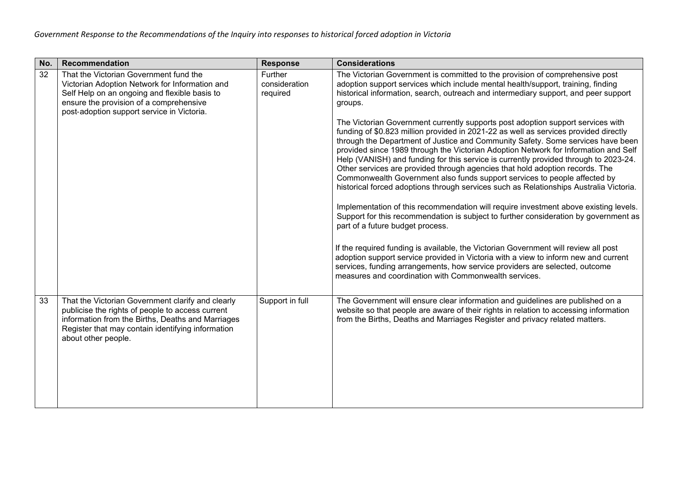| No. | <b>Recommendation</b>                                                                                                                                                                                                                  | <b>Response</b>                      | <b>Considerations</b>                                                                                                                                                                                                                                                                                                                                                                                                                                                                                                                                                                                                                                                                                                                                                                                                                                                                                                                                                                                                                                                                                                                                                                                                                                                                                                                                                                                                                                                                                            |
|-----|----------------------------------------------------------------------------------------------------------------------------------------------------------------------------------------------------------------------------------------|--------------------------------------|------------------------------------------------------------------------------------------------------------------------------------------------------------------------------------------------------------------------------------------------------------------------------------------------------------------------------------------------------------------------------------------------------------------------------------------------------------------------------------------------------------------------------------------------------------------------------------------------------------------------------------------------------------------------------------------------------------------------------------------------------------------------------------------------------------------------------------------------------------------------------------------------------------------------------------------------------------------------------------------------------------------------------------------------------------------------------------------------------------------------------------------------------------------------------------------------------------------------------------------------------------------------------------------------------------------------------------------------------------------------------------------------------------------------------------------------------------------------------------------------------------------|
| 32  | That the Victorian Government fund the<br>Victorian Adoption Network for Information and<br>Self Help on an ongoing and flexible basis to<br>ensure the provision of a comprehensive<br>post-adoption support service in Victoria.     | Further<br>consideration<br>required | The Victorian Government is committed to the provision of comprehensive post<br>adoption support services which include mental health/support, training, finding<br>historical information, search, outreach and intermediary support, and peer support<br>groups.<br>The Victorian Government currently supports post adoption support services with<br>funding of \$0.823 million provided in 2021-22 as well as services provided directly<br>through the Department of Justice and Community Safety. Some services have been<br>provided since 1989 through the Victorian Adoption Network for Information and Self<br>Help (VANISH) and funding for this service is currently provided through to 2023-24.<br>Other services are provided through agencies that hold adoption records. The<br>Commonwealth Government also funds support services to people affected by<br>historical forced adoptions through services such as Relationships Australia Victoria.<br>Implementation of this recommendation will require investment above existing levels.<br>Support for this recommendation is subject to further consideration by government as<br>part of a future budget process.<br>If the required funding is available, the Victorian Government will review all post<br>adoption support service provided in Victoria with a view to inform new and current<br>services, funding arrangements, how service providers are selected, outcome<br>measures and coordination with Commonwealth services. |
| 33  | That the Victorian Government clarify and clearly<br>publicise the rights of people to access current<br>information from the Births, Deaths and Marriages<br>Register that may contain identifying information<br>about other people. | Support in full                      | The Government will ensure clear information and guidelines are published on a<br>website so that people are aware of their rights in relation to accessing information<br>from the Births, Deaths and Marriages Register and privacy related matters.                                                                                                                                                                                                                                                                                                                                                                                                                                                                                                                                                                                                                                                                                                                                                                                                                                                                                                                                                                                                                                                                                                                                                                                                                                                           |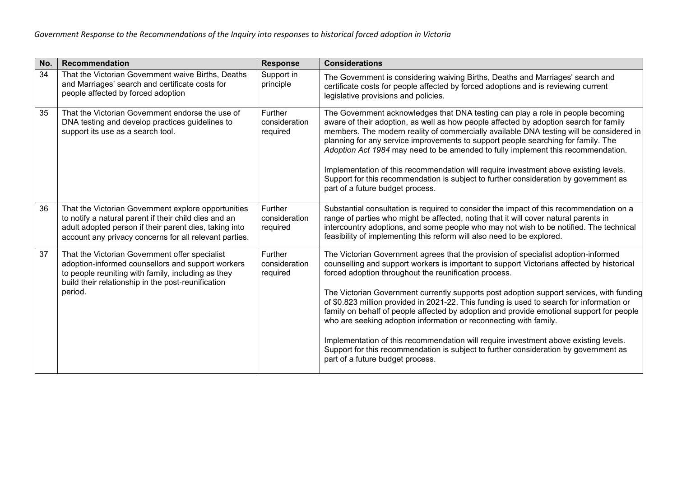| No. | Recommendation                                                                                                                                                                                                                   | <b>Response</b>                             | <b>Considerations</b>                                                                                                                                                                                                                                                                                                                                                                                                                                                                                                                                                                                                                                                                                                                                                                                                  |
|-----|----------------------------------------------------------------------------------------------------------------------------------------------------------------------------------------------------------------------------------|---------------------------------------------|------------------------------------------------------------------------------------------------------------------------------------------------------------------------------------------------------------------------------------------------------------------------------------------------------------------------------------------------------------------------------------------------------------------------------------------------------------------------------------------------------------------------------------------------------------------------------------------------------------------------------------------------------------------------------------------------------------------------------------------------------------------------------------------------------------------------|
| 34  | That the Victorian Government waive Births, Deaths<br>and Marriages' search and certificate costs for<br>people affected by forced adoption                                                                                      | Support in<br>principle                     | The Government is considering waiving Births, Deaths and Marriages' search and<br>certificate costs for people affected by forced adoptions and is reviewing current<br>legislative provisions and policies.                                                                                                                                                                                                                                                                                                                                                                                                                                                                                                                                                                                                           |
| 35  | That the Victorian Government endorse the use of<br>DNA testing and develop practices guidelines to<br>support its use as a search tool.                                                                                         | <b>Further</b><br>consideration<br>required | The Government acknowledges that DNA testing can play a role in people becoming<br>aware of their adoption, as well as how people affected by adoption search for family<br>members. The modern reality of commercially available DNA testing will be considered in<br>planning for any service improvements to support people searching for family. The<br>Adoption Act 1984 may need to be amended to fully implement this recommendation.<br>Implementation of this recommendation will require investment above existing levels.<br>Support for this recommendation is subject to further consideration by government as<br>part of a future budget process.                                                                                                                                                       |
| 36  | That the Victorian Government explore opportunities<br>to notify a natural parent if their child dies and an<br>adult adopted person if their parent dies, taking into<br>account any privacy concerns for all relevant parties. | Further<br>consideration<br>required        | Substantial consultation is required to consider the impact of this recommendation on a<br>range of parties who might be affected, noting that it will cover natural parents in<br>intercountry adoptions, and some people who may not wish to be notified. The technical<br>feasibility of implementing this reform will also need to be explored.                                                                                                                                                                                                                                                                                                                                                                                                                                                                    |
| 37  | That the Victorian Government offer specialist<br>adoption-informed counsellors and support workers<br>to people reuniting with family, including as they<br>build their relationship in the post-reunification<br>period.       | Further<br>consideration<br>required        | The Victorian Government agrees that the provision of specialist adoption-informed<br>counselling and support workers is important to support Victorians affected by historical<br>forced adoption throughout the reunification process.<br>The Victorian Government currently supports post adoption support services, with funding<br>of \$0.823 million provided in 2021-22. This funding is used to search for information or<br>family on behalf of people affected by adoption and provide emotional support for people<br>who are seeking adoption information or reconnecting with family.<br>Implementation of this recommendation will require investment above existing levels.<br>Support for this recommendation is subject to further consideration by government as<br>part of a future budget process. |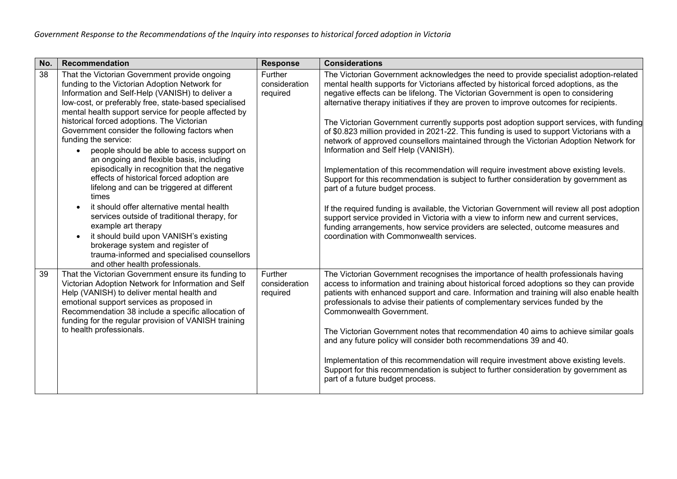| No. | Recommendation                                                                                                                                                                                                                                                                                                                                                                                                                                                                                                                                                                                                                                                                                                                                                                                                                                                                                                                | <b>Response</b>                      | <b>Considerations</b>                                                                                                                                                                                                                                                                                                                                                                                                                                                                                                                                                                                                                                                                                                                                                                                                                                                                                                                                                                                                                                                                                                                                                                                                            |
|-----|-------------------------------------------------------------------------------------------------------------------------------------------------------------------------------------------------------------------------------------------------------------------------------------------------------------------------------------------------------------------------------------------------------------------------------------------------------------------------------------------------------------------------------------------------------------------------------------------------------------------------------------------------------------------------------------------------------------------------------------------------------------------------------------------------------------------------------------------------------------------------------------------------------------------------------|--------------------------------------|----------------------------------------------------------------------------------------------------------------------------------------------------------------------------------------------------------------------------------------------------------------------------------------------------------------------------------------------------------------------------------------------------------------------------------------------------------------------------------------------------------------------------------------------------------------------------------------------------------------------------------------------------------------------------------------------------------------------------------------------------------------------------------------------------------------------------------------------------------------------------------------------------------------------------------------------------------------------------------------------------------------------------------------------------------------------------------------------------------------------------------------------------------------------------------------------------------------------------------|
| 38  | That the Victorian Government provide ongoing<br>funding to the Victorian Adoption Network for<br>Information and Self-Help (VANISH) to deliver a<br>low-cost, or preferably free, state-based specialised<br>mental health support service for people affected by<br>historical forced adoptions. The Victorian<br>Government consider the following factors when<br>funding the service:<br>people should be able to access support on<br>an ongoing and flexible basis, including<br>episodically in recognition that the negative<br>effects of historical forced adoption are<br>lifelong and can be triggered at different<br>times<br>it should offer alternative mental health<br>services outside of traditional therapy, for<br>example art therapy<br>it should build upon VANISH's existing<br>brokerage system and register of<br>trauma-informed and specialised counsellors<br>and other health professionals. | Further<br>consideration<br>required | The Victorian Government acknowledges the need to provide specialist adoption-related<br>mental health supports for Victorians affected by historical forced adoptions, as the<br>negative effects can be lifelong. The Victorian Government is open to considering<br>alternative therapy initiatives if they are proven to improve outcomes for recipients.<br>The Victorian Government currently supports post adoption support services, with funding<br>of \$0.823 million provided in 2021-22. This funding is used to support Victorians with a<br>network of approved counsellors maintained through the Victorian Adoption Network for<br>Information and Self Help (VANISH).<br>Implementation of this recommendation will require investment above existing levels.<br>Support for this recommendation is subject to further consideration by government as<br>part of a future budget process.<br>If the required funding is available, the Victorian Government will review all post adoption<br>support service provided in Victoria with a view to inform new and current services,<br>funding arrangements, how service providers are selected, outcome measures and<br>coordination with Commonwealth services. |
| 39  | That the Victorian Government ensure its funding to<br>Victorian Adoption Network for Information and Self<br>Help (VANISH) to deliver mental health and<br>emotional support services as proposed in<br>Recommendation 38 include a specific allocation of<br>funding for the regular provision of VANISH training<br>to health professionals.                                                                                                                                                                                                                                                                                                                                                                                                                                                                                                                                                                               | Further<br>consideration<br>required | The Victorian Government recognises the importance of health professionals having<br>access to information and training about historical forced adoptions so they can provide<br>patients with enhanced support and care. Information and training will also enable health<br>professionals to advise their patients of complementary services funded by the<br>Commonwealth Government.<br>The Victorian Government notes that recommendation 40 aims to achieve similar goals<br>and any future policy will consider both recommendations 39 and 40.<br>Implementation of this recommendation will require investment above existing levels.<br>Support for this recommendation is subject to further consideration by government as<br>part of a future budget process.                                                                                                                                                                                                                                                                                                                                                                                                                                                       |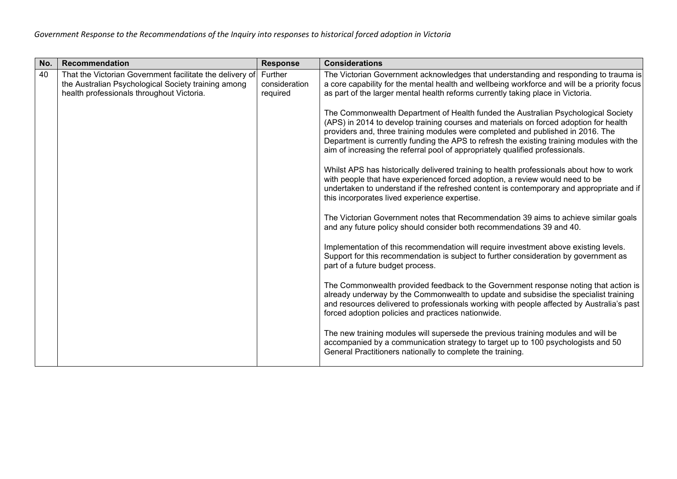| No. | Recommendation                                                                                                                                               | <b>Response</b>                      | <b>Considerations</b>                                                                                                                                                                                                                                                                                                                                                                                                                       |
|-----|--------------------------------------------------------------------------------------------------------------------------------------------------------------|--------------------------------------|---------------------------------------------------------------------------------------------------------------------------------------------------------------------------------------------------------------------------------------------------------------------------------------------------------------------------------------------------------------------------------------------------------------------------------------------|
| 40  | That the Victorian Government facilitate the delivery of<br>the Australian Psychological Society training among<br>health professionals throughout Victoria. | Further<br>consideration<br>required | The Victorian Government acknowledges that understanding and responding to trauma is<br>a core capability for the mental health and wellbeing workforce and will be a priority focus<br>as part of the larger mental health reforms currently taking place in Victoria.                                                                                                                                                                     |
|     |                                                                                                                                                              |                                      | The Commonwealth Department of Health funded the Australian Psychological Society<br>(APS) in 2014 to develop training courses and materials on forced adoption for health<br>providers and, three training modules were completed and published in 2016. The<br>Department is currently funding the APS to refresh the existing training modules with the<br>aim of increasing the referral pool of appropriately qualified professionals. |
|     |                                                                                                                                                              |                                      | Whilst APS has historically delivered training to health professionals about how to work<br>with people that have experienced forced adoption, a review would need to be<br>undertaken to understand if the refreshed content is contemporary and appropriate and if<br>this incorporates lived experience expertise.                                                                                                                       |
|     |                                                                                                                                                              |                                      | The Victorian Government notes that Recommendation 39 aims to achieve similar goals<br>and any future policy should consider both recommendations 39 and 40.                                                                                                                                                                                                                                                                                |
|     |                                                                                                                                                              |                                      | Implementation of this recommendation will require investment above existing levels.<br>Support for this recommendation is subject to further consideration by government as<br>part of a future budget process.                                                                                                                                                                                                                            |
|     |                                                                                                                                                              |                                      | The Commonwealth provided feedback to the Government response noting that action is<br>already underway by the Commonwealth to update and subsidise the specialist training<br>and resources delivered to professionals working with people affected by Australia's past<br>forced adoption policies and practices nationwide.                                                                                                              |
|     |                                                                                                                                                              |                                      | The new training modules will supersede the previous training modules and will be<br>accompanied by a communication strategy to target up to 100 psychologists and 50<br>General Practitioners nationally to complete the training.                                                                                                                                                                                                         |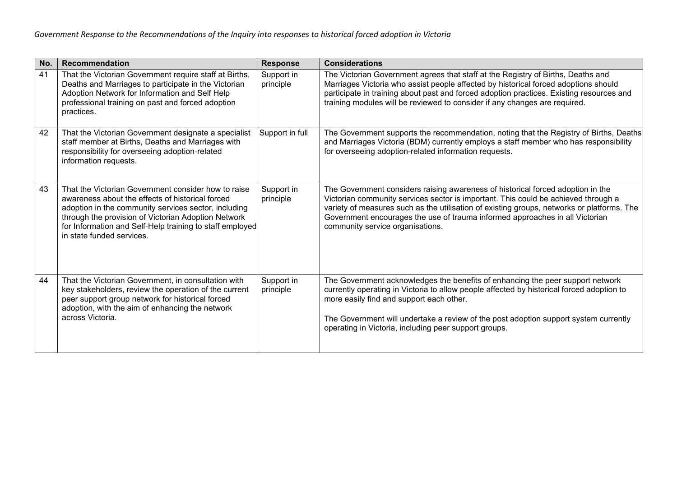| No. | <b>Recommendation</b>                                                                                                                                                                                                                                                                                           | <b>Response</b>         | <b>Considerations</b>                                                                                                                                                                                                                                                                                                                                                                   |
|-----|-----------------------------------------------------------------------------------------------------------------------------------------------------------------------------------------------------------------------------------------------------------------------------------------------------------------|-------------------------|-----------------------------------------------------------------------------------------------------------------------------------------------------------------------------------------------------------------------------------------------------------------------------------------------------------------------------------------------------------------------------------------|
| 41  | That the Victorian Government require staff at Births,<br>Deaths and Marriages to participate in the Victorian<br>Adoption Network for Information and Self Help<br>professional training on past and forced adoption<br>practices.                                                                             | Support in<br>principle | The Victorian Government agrees that staff at the Registry of Births, Deaths and<br>Marriages Victoria who assist people affected by historical forced adoptions should<br>participate in training about past and forced adoption practices. Existing resources and<br>training modules will be reviewed to consider if any changes are required.                                       |
| 42  | That the Victorian Government designate a specialist<br>staff member at Births, Deaths and Marriages with<br>responsibility for overseeing adoption-related<br>information requests.                                                                                                                            | Support in full         | The Government supports the recommendation, noting that the Registry of Births, Deaths<br>and Marriages Victoria (BDM) currently employs a staff member who has responsibility<br>for overseeing adoption-related information requests.                                                                                                                                                 |
| 43  | That the Victorian Government consider how to raise<br>awareness about the effects of historical forced<br>adoption in the community services sector, including<br>through the provision of Victorian Adoption Network<br>for Information and Self-Help training to staff employed<br>in state funded services. | Support in<br>principle | The Government considers raising awareness of historical forced adoption in the<br>Victorian community services sector is important. This could be achieved through a<br>variety of measures such as the utilisation of existing groups, networks or platforms. The<br>Government encourages the use of trauma informed approaches in all Victorian<br>community service organisations. |
| 44  | That the Victorian Government, in consultation with<br>key stakeholders, review the operation of the current<br>peer support group network for historical forced<br>adoption, with the aim of enhancing the network<br>across Victoria.                                                                         | Support in<br>principle | The Government acknowledges the benefits of enhancing the peer support network<br>currently operating in Victoria to allow people affected by historical forced adoption to<br>more easily find and support each other.<br>The Government will undertake a review of the post adoption support system currently<br>operating in Victoria, including peer support groups.                |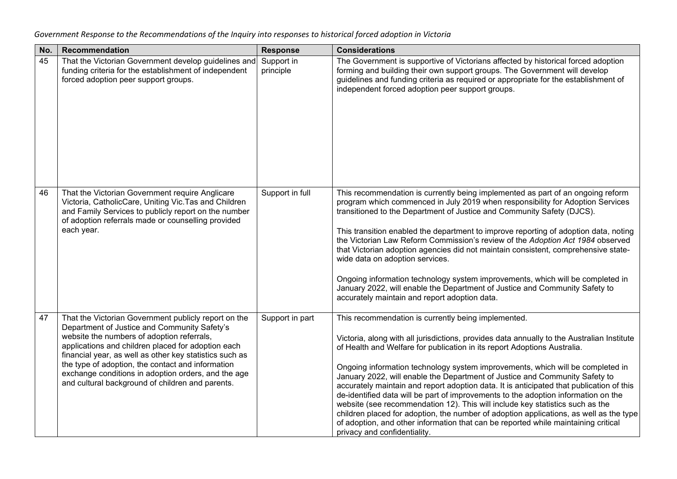| No. | Recommendation                                                                                                                                                                                                                                                                                                                                                                                                                      | <b>Response</b>         | <b>Considerations</b>                                                                                                                                                                                                                                                                                                                                                                                                                                                                                                                                                                                                                                                                                                                                                                                                                                                             |
|-----|-------------------------------------------------------------------------------------------------------------------------------------------------------------------------------------------------------------------------------------------------------------------------------------------------------------------------------------------------------------------------------------------------------------------------------------|-------------------------|-----------------------------------------------------------------------------------------------------------------------------------------------------------------------------------------------------------------------------------------------------------------------------------------------------------------------------------------------------------------------------------------------------------------------------------------------------------------------------------------------------------------------------------------------------------------------------------------------------------------------------------------------------------------------------------------------------------------------------------------------------------------------------------------------------------------------------------------------------------------------------------|
| 45  | That the Victorian Government develop guidelines and<br>funding criteria for the establishment of independent<br>forced adoption peer support groups.                                                                                                                                                                                                                                                                               | Support in<br>principle | The Government is supportive of Victorians affected by historical forced adoption<br>forming and building their own support groups. The Government will develop<br>guidelines and funding criteria as required or appropriate for the establishment of<br>independent forced adoption peer support groups.                                                                                                                                                                                                                                                                                                                                                                                                                                                                                                                                                                        |
| 46  | That the Victorian Government require Anglicare<br>Victoria, CatholicCare, Uniting Vic. Tas and Children<br>and Family Services to publicly report on the number<br>of adoption referrals made or counselling provided<br>each year.                                                                                                                                                                                                | Support in full         | This recommendation is currently being implemented as part of an ongoing reform<br>program which commenced in July 2019 when responsibility for Adoption Services<br>transitioned to the Department of Justice and Community Safety (DJCS).<br>This transition enabled the department to improve reporting of adoption data, noting<br>the Victorian Law Reform Commission's review of the Adoption Act 1984 observed<br>that Victorian adoption agencies did not maintain consistent, comprehensive state-<br>wide data on adoption services.<br>Ongoing information technology system improvements, which will be completed in<br>January 2022, will enable the Department of Justice and Community Safety to<br>accurately maintain and report adoption data.                                                                                                                  |
| 47  | That the Victorian Government publicly report on the<br>Department of Justice and Community Safety's<br>website the numbers of adoption referrals,<br>applications and children placed for adoption each<br>financial year, as well as other key statistics such as<br>the type of adoption, the contact and information<br>exchange conditions in adoption orders, and the age<br>and cultural background of children and parents. | Support in part         | This recommendation is currently being implemented.<br>Victoria, along with all jurisdictions, provides data annually to the Australian Institute<br>of Health and Welfare for publication in its report Adoptions Australia.<br>Ongoing information technology system improvements, which will be completed in<br>January 2022, will enable the Department of Justice and Community Safety to<br>accurately maintain and report adoption data. It is anticipated that publication of this<br>de-identified data will be part of improvements to the adoption information on the<br>website (see recommendation 12). This will include key statistics such as the<br>children placed for adoption, the number of adoption applications, as well as the type<br>of adoption, and other information that can be reported while maintaining critical<br>privacy and confidentiality. |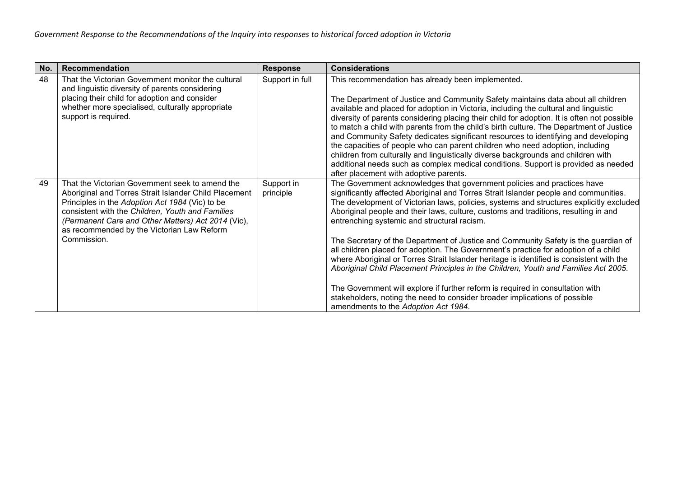| No. | <b>Recommendation</b>                                                                                                                                                                                                                                                                                                              | <b>Response</b>         | <b>Considerations</b>                                                                                                                                                                                                                                                                                                                                                                                                                                                                                                                                                                                                                                                                                                                                                                                                                                                                                                                                                    |
|-----|------------------------------------------------------------------------------------------------------------------------------------------------------------------------------------------------------------------------------------------------------------------------------------------------------------------------------------|-------------------------|--------------------------------------------------------------------------------------------------------------------------------------------------------------------------------------------------------------------------------------------------------------------------------------------------------------------------------------------------------------------------------------------------------------------------------------------------------------------------------------------------------------------------------------------------------------------------------------------------------------------------------------------------------------------------------------------------------------------------------------------------------------------------------------------------------------------------------------------------------------------------------------------------------------------------------------------------------------------------|
| 48  | That the Victorian Government monitor the cultural<br>and linguistic diversity of parents considering<br>placing their child for adoption and consider<br>whether more specialised, culturally appropriate<br>support is required.                                                                                                 | Support in full         | This recommendation has already been implemented.<br>The Department of Justice and Community Safety maintains data about all children<br>available and placed for adoption in Victoria, including the cultural and linguistic<br>diversity of parents considering placing their child for adoption. It is often not possible<br>to match a child with parents from the child's birth culture. The Department of Justice<br>and Community Safety dedicates significant resources to identifying and developing<br>the capacities of people who can parent children who need adoption, including<br>children from culturally and linguistically diverse backgrounds and children with<br>additional needs such as complex medical conditions. Support is provided as needed<br>after placement with adoptive parents.                                                                                                                                                      |
| 49  | That the Victorian Government seek to amend the<br>Aboriginal and Torres Strait Islander Child Placement<br>Principles in the Adoption Act 1984 (Vic) to be<br>consistent with the Children, Youth and Families<br>(Permanent Care and Other Matters) Act 2014 (Vic),<br>as recommended by the Victorian Law Reform<br>Commission. | Support in<br>principle | The Government acknowledges that government policies and practices have<br>significantly affected Aboriginal and Torres Strait Islander people and communities.<br>The development of Victorian laws, policies, systems and structures explicitly excluded<br>Aboriginal people and their laws, culture, customs and traditions, resulting in and<br>entrenching systemic and structural racism.<br>The Secretary of the Department of Justice and Community Safety is the guardian of<br>all children placed for adoption. The Government's practice for adoption of a child<br>where Aboriginal or Torres Strait Islander heritage is identified is consistent with the<br>Aboriginal Child Placement Principles in the Children, Youth and Families Act 2005.<br>The Government will explore if further reform is required in consultation with<br>stakeholders, noting the need to consider broader implications of possible<br>amendments to the Adoption Act 1984. |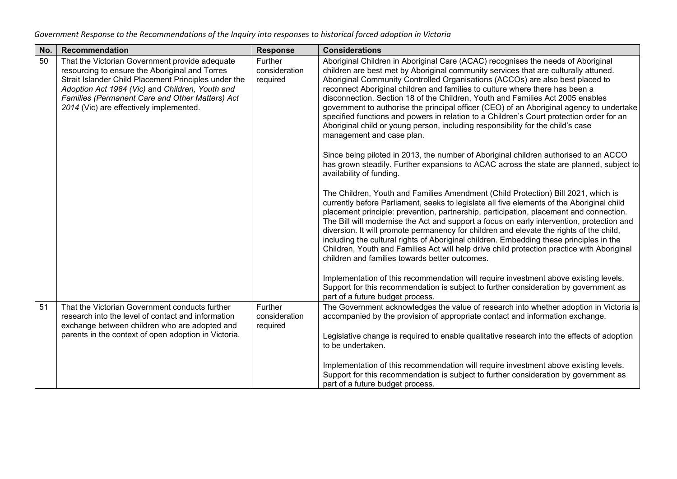| No. | Recommendation                                                                                                                                                                                                                                                                                            | <b>Response</b>                      | <b>Considerations</b>                                                                                                                                                                                                                                                                                                                                                                                                                                                                                                                                                                                                                                                                                                                                                                                                                                                                                                                                                                                                                                                                                                                                                                                                                                                                                                                                                                                                                                                                                                                                                                                                                                                                                                                                                                                                                             |
|-----|-----------------------------------------------------------------------------------------------------------------------------------------------------------------------------------------------------------------------------------------------------------------------------------------------------------|--------------------------------------|---------------------------------------------------------------------------------------------------------------------------------------------------------------------------------------------------------------------------------------------------------------------------------------------------------------------------------------------------------------------------------------------------------------------------------------------------------------------------------------------------------------------------------------------------------------------------------------------------------------------------------------------------------------------------------------------------------------------------------------------------------------------------------------------------------------------------------------------------------------------------------------------------------------------------------------------------------------------------------------------------------------------------------------------------------------------------------------------------------------------------------------------------------------------------------------------------------------------------------------------------------------------------------------------------------------------------------------------------------------------------------------------------------------------------------------------------------------------------------------------------------------------------------------------------------------------------------------------------------------------------------------------------------------------------------------------------------------------------------------------------------------------------------------------------------------------------------------------------|
| 50  | That the Victorian Government provide adequate<br>resourcing to ensure the Aboriginal and Torres<br>Strait Islander Child Placement Principles under the<br>Adoption Act 1984 (Vic) and Children, Youth and<br>Families (Permanent Care and Other Matters) Act<br>2014 (Vic) are effectively implemented. | Further<br>consideration<br>required | Aboriginal Children in Aboriginal Care (ACAC) recognises the needs of Aboriginal<br>children are best met by Aboriginal community services that are culturally attuned.<br>Aboriginal Community Controlled Organisations (ACCOs) are also best placed to<br>reconnect Aboriginal children and families to culture where there has been a<br>disconnection. Section 18 of the Children, Youth and Families Act 2005 enables<br>government to authorise the principal officer (CEO) of an Aboriginal agency to undertake<br>specified functions and powers in relation to a Children's Court protection order for an<br>Aboriginal child or young person, including responsibility for the child's case<br>management and case plan.<br>Since being piloted in 2013, the number of Aboriginal children authorised to an ACCO.<br>has grown steadily. Further expansions to ACAC across the state are planned, subject to<br>availability of funding.<br>The Children, Youth and Families Amendment (Child Protection) Bill 2021, which is<br>currently before Parliament, seeks to legislate all five elements of the Aboriginal child<br>placement principle: prevention, partnership, participation, placement and connection.<br>The Bill will modernise the Act and support a focus on early intervention, protection and<br>diversion. It will promote permanency for children and elevate the rights of the child,<br>including the cultural rights of Aboriginal children. Embedding these principles in the<br>Children, Youth and Families Act will help drive child protection practice with Aboriginal<br>children and families towards better outcomes.<br>Implementation of this recommendation will require investment above existing levels.<br>Support for this recommendation is subject to further consideration by government as |
| 51  | That the Victorian Government conducts further                                                                                                                                                                                                                                                            | Further                              | part of a future budget process.<br>The Government acknowledges the value of research into whether adoption in Victoria is                                                                                                                                                                                                                                                                                                                                                                                                                                                                                                                                                                                                                                                                                                                                                                                                                                                                                                                                                                                                                                                                                                                                                                                                                                                                                                                                                                                                                                                                                                                                                                                                                                                                                                                        |
|     | consideration<br>research into the level of contact and information<br>exchange between children who are adopted and<br>required<br>parents in the context of open adoption in Victoria.                                                                                                                  |                                      | accompanied by the provision of appropriate contact and information exchange.                                                                                                                                                                                                                                                                                                                                                                                                                                                                                                                                                                                                                                                                                                                                                                                                                                                                                                                                                                                                                                                                                                                                                                                                                                                                                                                                                                                                                                                                                                                                                                                                                                                                                                                                                                     |
|     |                                                                                                                                                                                                                                                                                                           |                                      | Legislative change is required to enable qualitative research into the effects of adoption<br>to be undertaken.                                                                                                                                                                                                                                                                                                                                                                                                                                                                                                                                                                                                                                                                                                                                                                                                                                                                                                                                                                                                                                                                                                                                                                                                                                                                                                                                                                                                                                                                                                                                                                                                                                                                                                                                   |
|     |                                                                                                                                                                                                                                                                                                           |                                      | Implementation of this recommendation will require investment above existing levels.<br>Support for this recommendation is subject to further consideration by government as<br>part of a future budget process.                                                                                                                                                                                                                                                                                                                                                                                                                                                                                                                                                                                                                                                                                                                                                                                                                                                                                                                                                                                                                                                                                                                                                                                                                                                                                                                                                                                                                                                                                                                                                                                                                                  |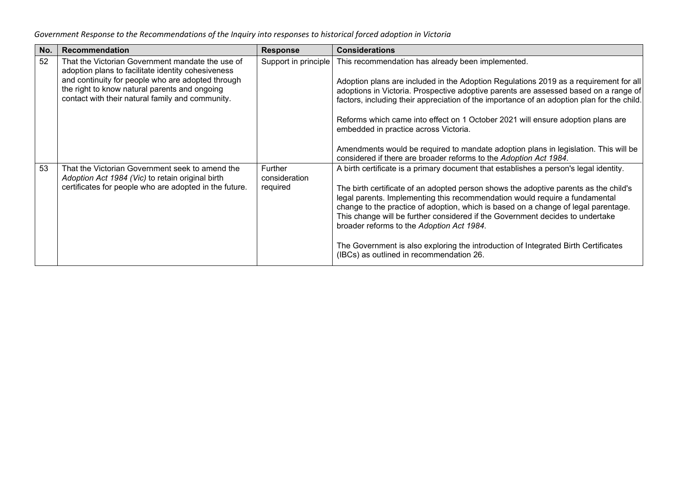| No. | Recommendation                                                                                                                                                                                                                                                   | <b>Response</b>                      | <b>Considerations</b>                                                                                                                                                                                                                                                                                                                                                                                                                                                                                                                                                                                                    |
|-----|------------------------------------------------------------------------------------------------------------------------------------------------------------------------------------------------------------------------------------------------------------------|--------------------------------------|--------------------------------------------------------------------------------------------------------------------------------------------------------------------------------------------------------------------------------------------------------------------------------------------------------------------------------------------------------------------------------------------------------------------------------------------------------------------------------------------------------------------------------------------------------------------------------------------------------------------------|
| 52  | That the Victorian Government mandate the use of<br>adoption plans to facilitate identity cohesiveness<br>and continuity for people who are adopted through<br>the right to know natural parents and ongoing<br>contact with their natural family and community. | Support in principle                 | This recommendation has already been implemented.<br>Adoption plans are included in the Adoption Regulations 2019 as a requirement for all<br>adoptions in Victoria. Prospective adoptive parents are assessed based on a range of<br>factors, including their appreciation of the importance of an adoption plan for the child.<br>Reforms which came into effect on 1 October 2021 will ensure adoption plans are<br>embedded in practice across Victoria.<br>Amendments would be required to mandate adoption plans in legislation. This will be<br>considered if there are broader reforms to the Adoption Act 1984. |
| 53  | That the Victorian Government seek to amend the<br>Adoption Act 1984 (Vic) to retain original birth<br>certificates for people who are adopted in the future.                                                                                                    | Further<br>consideration<br>required | A birth certificate is a primary document that establishes a person's legal identity.<br>The birth certificate of an adopted person shows the adoptive parents as the child's<br>legal parents. Implementing this recommendation would require a fundamental<br>change to the practice of adoption, which is based on a change of legal parentage.<br>This change will be further considered if the Government decides to undertake<br>broader reforms to the Adoption Act 1984.<br>The Government is also exploring the introduction of Integrated Birth Certificates<br>(IBCs) as outlined in recommendation 26.       |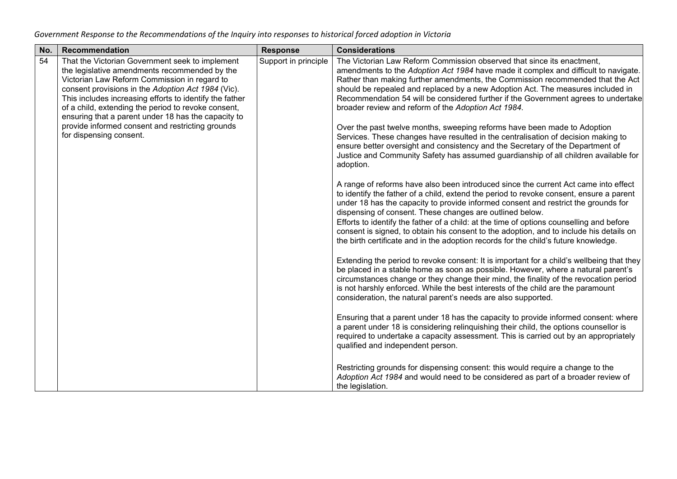| No. | Recommendation                                                                                                                                                                                                                                                                                                                                                                  | <b>Response</b>      | <b>Considerations</b>                                                                                                                                                                                                                                                                                                                                                                                                                                                                                                                                                                                          |
|-----|---------------------------------------------------------------------------------------------------------------------------------------------------------------------------------------------------------------------------------------------------------------------------------------------------------------------------------------------------------------------------------|----------------------|----------------------------------------------------------------------------------------------------------------------------------------------------------------------------------------------------------------------------------------------------------------------------------------------------------------------------------------------------------------------------------------------------------------------------------------------------------------------------------------------------------------------------------------------------------------------------------------------------------------|
| 54  | That the Victorian Government seek to implement<br>the legislative amendments recommended by the<br>Victorian Law Reform Commission in regard to<br>consent provisions in the Adoption Act 1984 (Vic).<br>This includes increasing efforts to identify the father<br>of a child, extending the period to revoke consent,<br>ensuring that a parent under 18 has the capacity to | Support in principle | The Victorian Law Reform Commission observed that since its enactment,<br>amendments to the Adoption Act 1984 have made it complex and difficult to navigate.<br>Rather than making further amendments, the Commission recommended that the Act<br>should be repealed and replaced by a new Adoption Act. The measures included in<br>Recommendation 54 will be considered further if the Government agrees to undertake<br>broader review and reform of the Adoption Act 1984.                                                                                                                                |
|     | provide informed consent and restricting grounds<br>for dispensing consent.                                                                                                                                                                                                                                                                                                     |                      | Over the past twelve months, sweeping reforms have been made to Adoption<br>Services. These changes have resulted in the centralisation of decision making to<br>ensure better oversight and consistency and the Secretary of the Department of<br>Justice and Community Safety has assumed guardianship of all children available for<br>adoption.                                                                                                                                                                                                                                                            |
|     |                                                                                                                                                                                                                                                                                                                                                                                 |                      | A range of reforms have also been introduced since the current Act came into effect<br>to identify the father of a child, extend the period to revoke consent, ensure a parent<br>under 18 has the capacity to provide informed consent and restrict the grounds for<br>dispensing of consent. These changes are outlined below.<br>Efforts to identify the father of a child: at the time of options counselling and before<br>consent is signed, to obtain his consent to the adoption, and to include his details on<br>the birth certificate and in the adoption records for the child's future knowledge. |
|     |                                                                                                                                                                                                                                                                                                                                                                                 |                      | Extending the period to revoke consent: It is important for a child's wellbeing that they<br>be placed in a stable home as soon as possible. However, where a natural parent's<br>circumstances change or they change their mind, the finality of the revocation period<br>is not harshly enforced. While the best interests of the child are the paramount<br>consideration, the natural parent's needs are also supported.                                                                                                                                                                                   |
|     |                                                                                                                                                                                                                                                                                                                                                                                 |                      | Ensuring that a parent under 18 has the capacity to provide informed consent: where<br>a parent under 18 is considering relinquishing their child, the options counsellor is<br>required to undertake a capacity assessment. This is carried out by an appropriately<br>qualified and independent person.                                                                                                                                                                                                                                                                                                      |
|     |                                                                                                                                                                                                                                                                                                                                                                                 |                      | Restricting grounds for dispensing consent: this would require a change to the<br>Adoption Act 1984 and would need to be considered as part of a broader review of<br>the legislation.                                                                                                                                                                                                                                                                                                                                                                                                                         |